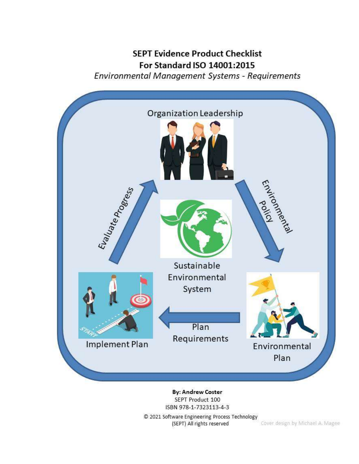## **SEPT Evidence Product Checklist** For Standard ISO 14001:2015 Environmental Management Systems - Requirements



**By: Andrew Coster** SEPT Product 100 ISBN 978-1-7323113-4-3

© 2021 Software Engineering Process Technology<br>(SEPT) All rights reserved Cover design by Michael A. Magee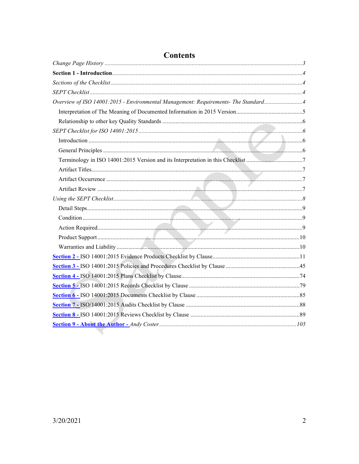| <b>Contents</b>                                                                    |  |
|------------------------------------------------------------------------------------|--|
|                                                                                    |  |
|                                                                                    |  |
|                                                                                    |  |
|                                                                                    |  |
| Overview of ISO 14001:2015 - Environmental Management: Requirements- The Standard4 |  |
|                                                                                    |  |
|                                                                                    |  |
|                                                                                    |  |
|                                                                                    |  |
|                                                                                    |  |
|                                                                                    |  |
|                                                                                    |  |
|                                                                                    |  |
|                                                                                    |  |
|                                                                                    |  |
|                                                                                    |  |
|                                                                                    |  |
|                                                                                    |  |
|                                                                                    |  |
|                                                                                    |  |
|                                                                                    |  |
|                                                                                    |  |
|                                                                                    |  |
|                                                                                    |  |
|                                                                                    |  |
|                                                                                    |  |
|                                                                                    |  |
|                                                                                    |  |
|                                                                                    |  |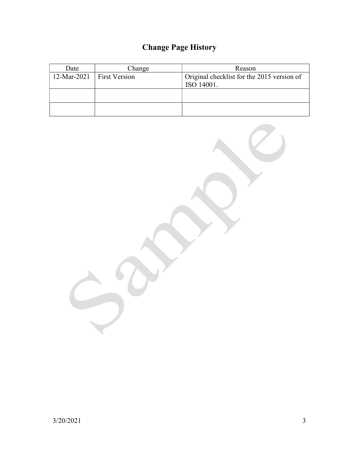# Change Page History

| Change<br>Date              |  | Reason                                     |  |  |
|-----------------------------|--|--------------------------------------------|--|--|
| 12-Mar-2021   First Version |  | Original checklist for the 2015 version of |  |  |
|                             |  | ISO 14001.                                 |  |  |
|                             |  |                                            |  |  |
|                             |  |                                            |  |  |
|                             |  |                                            |  |  |
|                             |  |                                            |  |  |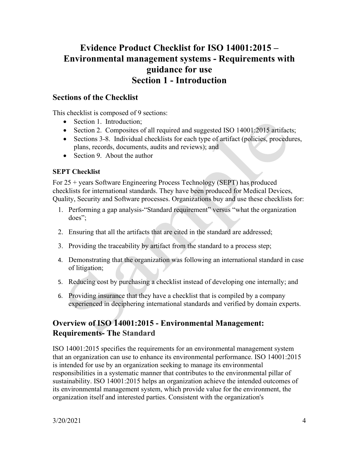## Evidence Product Checklist for ISO 14001:2015 – Environmental management systems - Requirements with guidance for use Section 1 - Introduction

#### Sections of the Checklist

This checklist is composed of 9 sections:

- Section 1. Introduction;
- Section 2. Composites of all required and suggested ISO 14001:2015 artifacts;
- Sections 3-8. Individual checklists for each type of artifact (policies, procedures, plans, records, documents, audits and reviews); and
- Section 9. About the author

#### SEPT Checklist

For 25 + years Software Engineering Process Technology (SEPT) has produced checklists for international standards. They have been produced for Medical Devices, Quality, Security and Software processes. Organizations buy and use these checklists for:

- 1. Performing a gap analysis-"Standard requirement" versus "what the organization does";
- 2. Ensuring that all the artifacts that are cited in the standard are addressed;
- 3. Providing the traceability by artifact from the standard to a process step;
- 4. Demonstrating that the organization was following an international standard in case of litigation;
- 5. Reducing cost by purchasing a checklist instead of developing one internally; and
- 6. Providing insurance that they have a checklist that is compiled by a company experienced in deciphering international standards and verified by domain experts.

### Overview of ISO 14001:2015 - Environmental Management: Requirements- The Standard

ISO 14001:2015 specifies the requirements for an environmental management system that an organization can use to enhance its environmental performance. ISO 14001:2015 is intended for use by an organization seeking to manage its environmental responsibilities in a systematic manner that contributes to the environmental pillar of sustainability. ISO 14001:2015 helps an organization achieve the intended outcomes of its environmental management system, which provide value for the environment, the organization itself and interested parties. Consistent with the organization's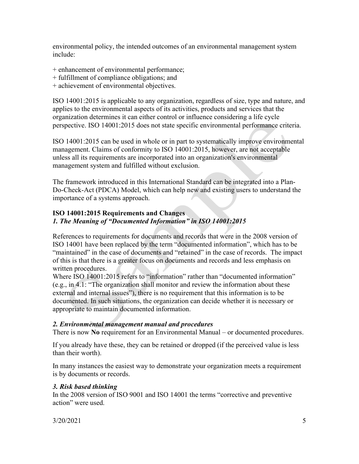environmental policy, the intended outcomes of an environmental management system include:

- + enhancement of environmental performance;
- + fulfillment of compliance obligations; and
- + achievement of environmental objectives.

ISO 14001:2015 is applicable to any organization, regardless of size, type and nature, and applies to the environmental aspects of its activities, products and services that the organization determines it can either control or influence considering a life cycle perspective. ISO 14001:2015 does not state specific environmental performance criteria.

ISO 14001:2015 can be used in whole or in part to systematically improve environmental management. Claims of conformity to ISO 14001:2015, however, are not acceptable unless all its requirements are incorporated into an organization's environmental management system and fulfilled without exclusion.

The framework introduced in this International Standard can be integrated into a Plan-Do-Check-Act (PDCA) Model, which can help new and existing users to understand the importance of a systems approach.

#### ISO 14001:2015 Requirements and Changes 1. The Meaning of "Documented Information" in ISO 14001:2015

References to requirements for documents and records that were in the 2008 version of ISO 14001 have been replaced by the term "documented information", which has to be "maintained" in the case of documents and "retained" in the case of records. The impact of this is that there is a greater focus on documents and records and less emphasis on written procedures.

Where ISO 14001:2015 refers to "information" rather than "documented information" (e.g., in 4.1: "The organization shall monitor and review the information about these external and internal issues"), there is no requirement that this information is to be documented. In such situations, the organization can decide whether it is necessary or appropriate to maintain documented information.

#### 2. Environmental management manual and procedures

There is now No requirement for an Environmental Manual – or documented procedures.

If you already have these, they can be retained or dropped (if the perceived value is less than their worth).

In many instances the easiest way to demonstrate your organization meets a requirement is by documents or records.

#### 3. Risk based thinking

In the 2008 version of ISO 9001 and ISO 14001 the terms "corrective and preventive action" were used.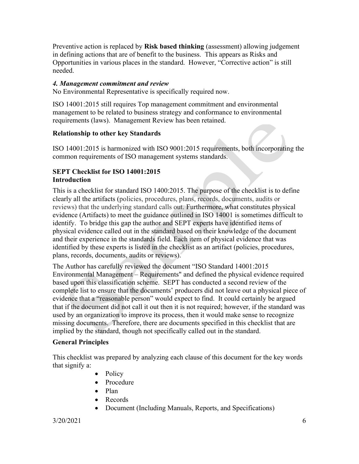Preventive action is replaced by **Risk based thinking** (assessment) allowing judgement in defining actions that are of benefit to the business. This appears as Risks and Opportunities in various places in the standard. However, "Corrective action" is still needed.

#### 4. Management commitment and review

No Environmental Representative is specifically required now.

ISO 14001:2015 still requires Top management commitment and environmental management to be related to business strategy and conformance to environmental requirements (laws). Management Review has been retained.

#### Relationship to other key Standards

ISO 14001:2015 is harmonized with ISO 9001:2015 requirements, both incorporating the common requirements of ISO management systems standards.

#### SEPT Checklist for ISO 14001:2015 Introduction

This is a checklist for standard ISO 1400:2015. The purpose of the checklist is to define clearly all the artifacts (policies, procedures, plans, records, documents, audits or reviews) that the underlying standard calls out. Furthermore, what constitutes physical evidence (Artifacts) to meet the guidance outlined in ISO 14001 is sometimes difficult to identify. To bridge this gap the author and SEPT experts have identified items of physical evidence called out in the standard based on their knowledge of the document and their experience in the standards field. Each item of physical evidence that was identified by these experts is listed in the checklist as an artifact (policies, procedures, plans, records, documents, audits or reviews).

The Author has carefully reviewed the document "ISO Standard 14001:2015 Environmental Management – Requirements" and defined the physical evidence required based upon this classification scheme. SEPT has conducted a second review of the complete list to ensure that the documents' producers did not leave out a physical piece of evidence that a "reasonable person" would expect to find. It could certainly be argued that if the document did not call it out then it is not required; however, if the standard was used by an organization to improve its process, then it would make sense to recognize missing documents. Therefore, there are documents specified in this checklist that are implied by the standard, though not specifically called out in the standard.

#### General Principles

This checklist was prepared by analyzing each clause of this document for the key words that signify a:

- Policy
- Procedure
- Plan
- Records
- Document (Including Manuals, Reports, and Specifications)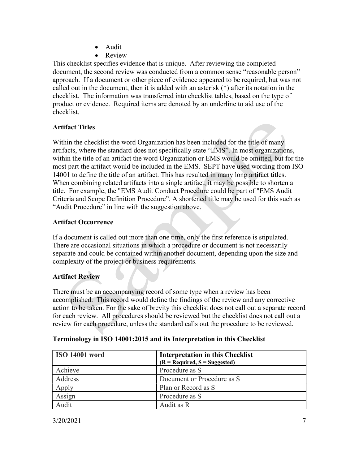- Audit
- Review

This checklist specifies evidence that is unique. After reviewing the completed document, the second review was conducted from a common sense "reasonable person" approach. If a document or other piece of evidence appeared to be required, but was not called out in the document, then it is added with an asterisk (\*) after its notation in the checklist. The information was transferred into checklist tables, based on the type of product or evidence. Required items are denoted by an underline to aid use of the checklist.

#### Artifact Titles

Within the checklist the word Organization has been included for the title of many artifacts, where the standard does not specifically state "EMS". In most organizations, within the title of an artifact the word Organization or EMS would be omitted, but for the most part the artifact would be included in the EMS. SEPT have used wording from ISO 14001 to define the title of an artifact. This has resulted in many long artifact titles. When combining related artifacts into a single artifact, it may be possible to shorten a title. For example, the "EMS Audit Conduct Procedure could be part of "EMS Audit Criteria and Scope Definition Procedure". A shortened title may be used for this such as "Audit Procedure" in line with the suggestion above.

#### Artifact Occurrence

If a document is called out more than one time, only the first reference is stipulated. There are occasional situations in which a procedure or document is not necessarily separate and could be contained within another document, depending upon the size and complexity of the project or business requirements.

#### Artifact Review

There must be an accompanying record of some type when a review has been accomplished. This record would define the findings of the review and any corrective action to be taken. For the sake of brevity this checklist does not call out a separate record for each review. All procedures should be reviewed but the checklist does not call out a review for each procedure, unless the standard calls out the procedure to be reviewed.

| <b>ISO 14001 word</b> | <b>Interpretation in this Checklist</b><br>$(R = Required, S = Suggested)$ |
|-----------------------|----------------------------------------------------------------------------|
| Achieve               | Procedure as S                                                             |
| Address               | Document or Procedure as S                                                 |
| Apply                 | Plan or Record as S                                                        |
| Assign                | Procedure as S                                                             |
| Audit                 | Audit as R                                                                 |

#### Terminology in ISO 14001:2015 and its Interpretation in this Checklist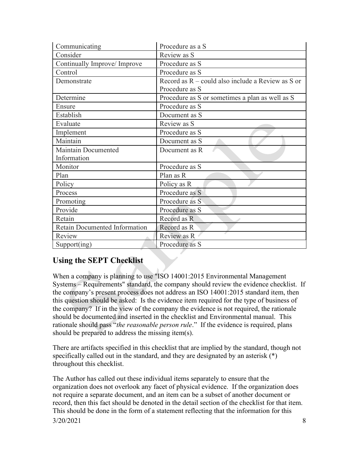| Communicating                 | Procedure as a S                                    |
|-------------------------------|-----------------------------------------------------|
| Consider                      | Review as S                                         |
| Continually Improve/ Improve  | Procedure as S                                      |
| Control                       | Procedure as S                                      |
| Demonstrate                   | Record as $R$ – could also include a Review as S or |
|                               | Procedure as S                                      |
| Determine                     | Procedure as S or sometimes a plan as well as S     |
| Ensure                        | Procedure as S                                      |
| Establish                     | Document as S                                       |
| Evaluate                      | Review as S                                         |
| Implement                     | Procedure as S                                      |
| Maintain                      | Document as S                                       |
| Maintain Documented           | Document as R                                       |
| Information                   |                                                     |
| Monitor                       | Procedure as S                                      |
| Plan                          | Plan as R                                           |
| Policy                        | Policy as R                                         |
| Process                       | Procedure as S                                      |
| Promoting                     | Procedure as S                                      |
| Provide                       | Procedure as S                                      |
| Retain                        | Record as R                                         |
| Retain Documented Information | Record as R                                         |
| Review                        | Review as R                                         |
| Support(ing)                  | Procedure as S                                      |

## Using the SEPT Checklist

When a company is planning to use "ISO 14001:2015 Environmental Management Systems – Requirements" standard, the company should review the evidence checklist. If the company's present process does not address an ISO 14001:2015 standard item, then this question should be asked: Is the evidence item required for the type of business of the company? If in the view of the company the evidence is not required, the rationale should be documented and inserted in the checklist and Environmental manual. This rationale should pass "the reasonable person rule." If the evidence is required, plans should be prepared to address the missing item(s).

There are artifacts specified in this checklist that are implied by the standard, though not specifically called out in the standard, and they are designated by an asterisk  $(*)$ throughout this checklist.

3/20/2021 8 The Author has called out these individual items separately to ensure that the organization does not overlook any facet of physical evidence. If the organization does not require a separate document, and an item can be a subset of another document or record, then this fact should be denoted in the detail section of the checklist for that item. This should be done in the form of a statement reflecting that the information for this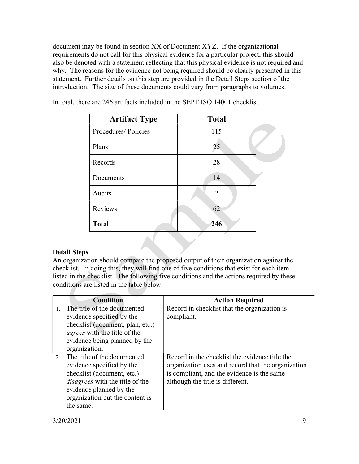document may be found in section XX of Document XYZ. If the organizational requirements do not call for this physical evidence for a particular project, this should also be denoted with a statement reflecting that this physical evidence is not required and why. The reasons for the evidence not being required should be clearly presented in this statement. Further details on this step are provided in the Detail Steps section of the introduction. The size of these documents could vary from paragraphs to volumes.

| <b>Artifact Type</b> | <b>Total</b>   |  |
|----------------------|----------------|--|
| Procedures/Policies  | 115            |  |
| Plans                | 25             |  |
| Records              | 28             |  |
| Documents            | 14             |  |
| Audits               | $\overline{2}$ |  |
| Reviews              | 62             |  |
| <b>Total</b>         | 246            |  |

In total, there are 246 artifacts included in the SEPT ISO 14001 checklist.

#### Detail Steps

An organization should compare the proposed output of their organization against the checklist. In doing this, they will find one of five conditions that exist for each item listed in the checklist. The following five conditions and the actions required by these conditions are listed in the table below.

|         | <b>Condition</b>                                                                                                                                                                                            | <b>Action Required</b>                                                                                                                                                                 |
|---------|-------------------------------------------------------------------------------------------------------------------------------------------------------------------------------------------------------------|----------------------------------------------------------------------------------------------------------------------------------------------------------------------------------------|
| $1_{-}$ | The title of the documented<br>evidence specified by the<br>checklist (document, plan, etc.)<br><i>agrees</i> with the title of the<br>evidence being planned by the<br>organization.                       | Record in checklist that the organization is<br>compliant.                                                                                                                             |
| $2^{1}$ | The title of the documented<br>evidence specified by the<br>checklist (document, etc.)<br><i>disagrees</i> with the title of the<br>evidence planned by the<br>organization but the content is<br>the same. | Record in the checklist the evidence title the<br>organization uses and record that the organization<br>is compliant, and the evidence is the same<br>although the title is different. |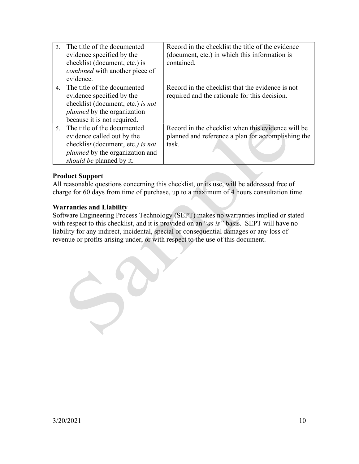| $\mathcal{Z}$ | The title of the documented            | Record in the checklist the title of the evidence  |
|---------------|----------------------------------------|----------------------------------------------------|
|               | evidence specified by the              | (document, etc.) in which this information is      |
|               | checklist (document, etc.) is          | contained.                                         |
|               | <i>combined</i> with another piece of  |                                                    |
|               | evidence.                              |                                                    |
|               | 4. The title of the documented         | Record in the checklist that the evidence is not   |
|               | evidence specified by the              | required and the rationale for this decision.      |
|               | checklist (document, etc.) is not      |                                                    |
|               | <i>planned</i> by the organization     |                                                    |
|               | because it is not required.            |                                                    |
|               | 5. The title of the documented         | Record in the checklist when this evidence will be |
|               | evidence called out by the             | planned and reference a plan for accomplishing the |
|               | checklist (document, etc.) is not      | task.                                              |
|               | <i>planned</i> by the organization and |                                                    |
|               | <i>should be planned by it.</i>        |                                                    |

#### Product Support

All reasonable questions concerning this checklist, or its use, will be addressed free of charge for 60 days from time of purchase, up to a maximum of 4 hours consultation time.

#### Warranties and Liability

Software Engineering Process Technology (SEPT) makes no warranties implied or stated with respect to this checklist, and it is provided on an "as is" basis. SEPT will have no liability for any indirect, incidental, special or consequential damages or any loss of revenue or profits arising under, or with respect to the use of this document.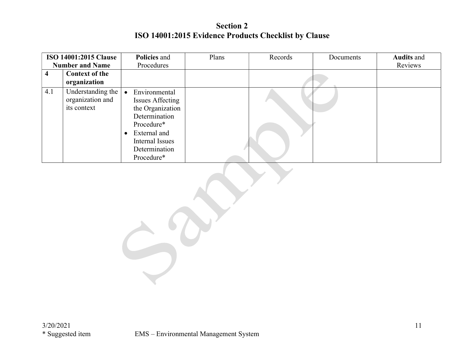## Section 2 ISO 14001:2015 Evidence Products Checklist by Clause

|     | <b>ISO 14001:2015 Clause</b>                         | Policies and                                                                                                                                                    | Plans | Records | Documents | <b>Audits and</b> |
|-----|------------------------------------------------------|-----------------------------------------------------------------------------------------------------------------------------------------------------------------|-------|---------|-----------|-------------------|
|     | <b>Number and Name</b>                               | Procedures                                                                                                                                                      |       |         |           | Reviews           |
| 4   | <b>Context of the</b>                                |                                                                                                                                                                 |       |         |           |                   |
|     | organization                                         |                                                                                                                                                                 |       |         |           |                   |
| 4.1 | Understanding the<br>organization and<br>its context | Environmental<br><b>Issues Affecting</b><br>the Organization<br>Determination<br>Procedure*<br>• External and<br>Internal Issues<br>Determination<br>Procedure* |       |         |           |                   |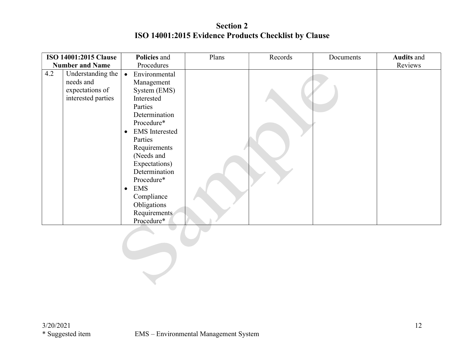## Section 2 ISO 14001:2015 Evidence Products Checklist by Clause

|     | <b>ISO 14001:2015 Clause</b>                                            | Policies and                                                                                                                                                                                                                                                                                                               | Plans | Records | Documents | <b>Audits and</b> |
|-----|-------------------------------------------------------------------------|----------------------------------------------------------------------------------------------------------------------------------------------------------------------------------------------------------------------------------------------------------------------------------------------------------------------------|-------|---------|-----------|-------------------|
|     | <b>Number and Name</b>                                                  | Procedures                                                                                                                                                                                                                                                                                                                 |       |         |           | Reviews           |
| 4.2 | Understanding the<br>needs and<br>expectations of<br>interested parties | • Environmental<br>Management<br>System (EMS)<br>Interested<br>Parties<br>Determination<br>Procedure*<br><b>EMS</b> Interested<br>$\bullet$<br>Parties<br>Requirements<br>(Needs and<br>Expectations)<br>Determination<br>Procedure*<br><b>EMS</b><br>$\bullet$<br>Compliance<br>Obligations<br>Requirements<br>Procedure* |       |         |           |                   |
|     |                                                                         |                                                                                                                                                                                                                                                                                                                            |       |         |           |                   |